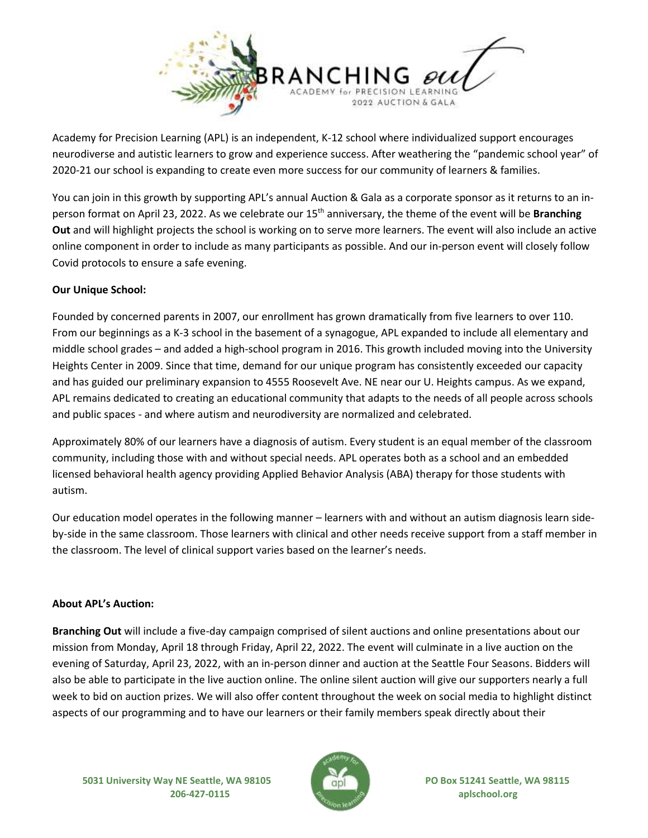

Academy for Precision Learning (APL) is an independent, K-12 school where individualized support encourages neurodiverse and autistic learners to grow and experience success. After weathering the "pandemic school year" of 2020-21 our school is expanding to create even more success for our community of learners & families.

You can join in this growth by supporting APL's annual Auction & Gala as a corporate sponsor as it returns to an inperson format on April 23, 2022. As we celebrate our 15th anniversary, the theme of the event will be **Branching Out** and will highlight projects the school is working on to serve more learners. The event will also include an active online component in order to include as many participants as possible. And our in-person event will closely follow Covid protocols to ensure a safe evening.

## **Our Unique School:**

Founded by concerned parents in 2007, our enrollment has grown dramatically from five learners to over 110. From our beginnings as a K-3 school in the basement of a synagogue, APL expanded to include all elementary and middle school grades – and added a high-school program in 2016. This growth included moving into the University Heights Center in 2009. Since that time, demand for our unique program has consistently exceeded our capacity and has guided our preliminary expansion to 4555 Roosevelt Ave. NE near our U. Heights campus. As we expand, APL remains dedicated to creating an educational community that adapts to the needs of all people across schools and public spaces - and where autism and neurodiversity are normalized and celebrated.

Approximately 80% of our learners have a diagnosis of autism. Every student is an equal member of the classroom community, including those with and without special needs. APL operates both as a school and an embedded licensed behavioral health agency providing Applied Behavior Analysis (ABA) therapy for those students with autism.

Our education model operates in the following manner – learners with and without an autism diagnosis learn sideby-side in the same classroom. Those learners with clinical and other needs receive support from a staff member in the classroom. The level of clinical support varies based on the learner's needs.

## **About APL's Auction:**

**Branching Out** will include a five-day campaign comprised of silent auctions and online presentations about our mission from Monday, April 18 through Friday, April 22, 2022. The event will culminate in a live auction on the evening of Saturday, April 23, 2022, with an in-person dinner and auction at the Seattle Four Seasons. Bidders will also be able to participate in the live auction online. The online silent auction will give our supporters nearly a full week to bid on auction prizes. We will also offer content throughout the week on social media to highlight distinct aspects of our programming and to have our learners or their family members speak directly about their